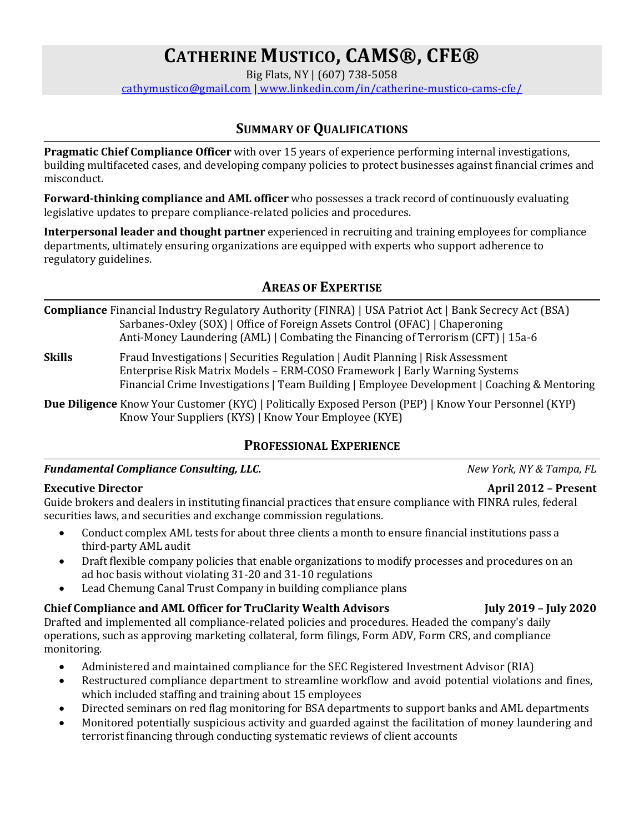# **CATHERINE MUSTICO, CAMS®, CFE®**

Big Flats, NY | (607) 738-5058

[cathymustico@gmail.com](mailto:cathymustico@gmail.com) | [www.linkedin.com/in/catherine-mustico-cams-cfe/](http://www.linkedin.com/in/catherine-mustico-cams-cfe/)

### **SUMMARY OF QUALIFICATIONS**

**Pragmatic Chief Compliance Officer** with over 15 years of experience performing internal investigations, building multifaceted cases, and developing company policies to protect businesses against financial crimes and misconduct.

**Forward-thinking compliance and AML officer** who possesses a track record of continuously evaluating legislative updates to prepare compliance-related policies and procedures.

**Interpersonal leader and thought partner** experienced in recruiting and training employees for compliance departments, ultimately ensuring organizations are equipped with experts who support adherence to regulatory guidelines.

#### **AREAS OF EXPERTISE**

**Compliance** Financial Industry Regulatory Authority (FINRA) | USA Patriot Act | Bank Secrecy Act (BSA) Sarbanes-Oxley (SOX) | Office of Foreign Assets Control (OFAC) | Chaperoning Anti-Money Laundering (AML) | Combating the Financing of Terrorism (CFT) | 15a-6

**Skills** Fraud Investigations | Securities Regulation | Audit Planning | Risk Assessment Enterprise Risk Matrix Models – ERM-COSO Framework | Early Warning Systems Financial Crime Investigations | Team Building | Employee Development | Coaching & Mentoring

**Due Diligence** Know Your Customer (KYC) | Politically Exposed Person (PEP) | Know Your Personnel (KYP) Know Your Suppliers (KYS) | Know Your Employee (KYE)

#### **PROFESSIONAL EXPERIENCE**

*Fundamental Compliance Consulting, LLC. New York, NY & Tampa, FL*

#### **Executive Director April 2012 – Present**

Guide brokers and dealers in instituting financial practices that ensure compliance with FINRA rules, federal securities laws, and securities and exchange commission regulations.

- Conduct complex AML tests for about three clients a month to ensure financial institutions pass a third-party AML audit
- Draft flexible company policies that enable organizations to modify processes and procedures on an ad hoc basis without violating 31-20 and 31-10 regulations
- Lead Chemung Canal Trust Company in building compliance plans

# **Chief Compliance and AML Officer for TruClarity Wealth Advisors July 2019 – July 2020**

Drafted and implemented all compliance-related policies and procedures. Headed the company's daily operations, such as approving marketing collateral, form filings, Form ADV, Form CRS, and compliance monitoring.

- Administered and maintained compliance for the SEC Registered Investment Advisor (RIA)
- Restructured compliance department to streamline workflow and avoid potential violations and fines, which included staffing and training about 15 employees
- Directed seminars on red flag monitoring for BSA departments to support banks and AML departments
- Monitored potentially suspicious activity and guarded against the facilitation of money laundering and terrorist financing through conducting systematic reviews of client accounts